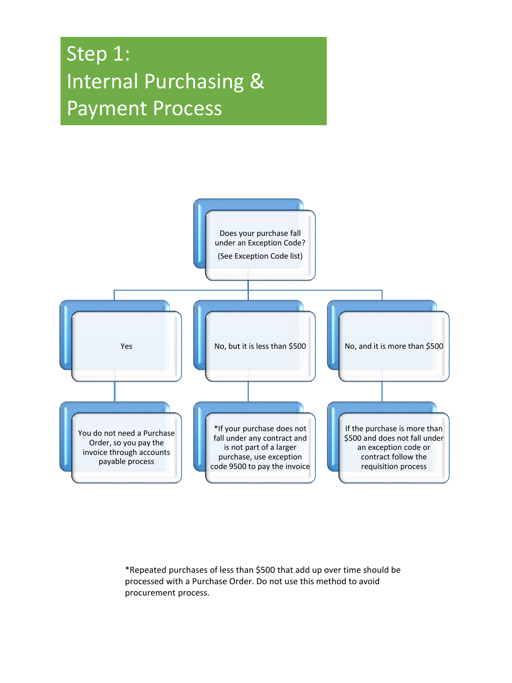## Step 1: Internal Purchasing & Payment Process



\*Repeated purchases of less than \$500 that add up over time should be processed with a Purchase Order. Do not use this method to avoid procurement process.